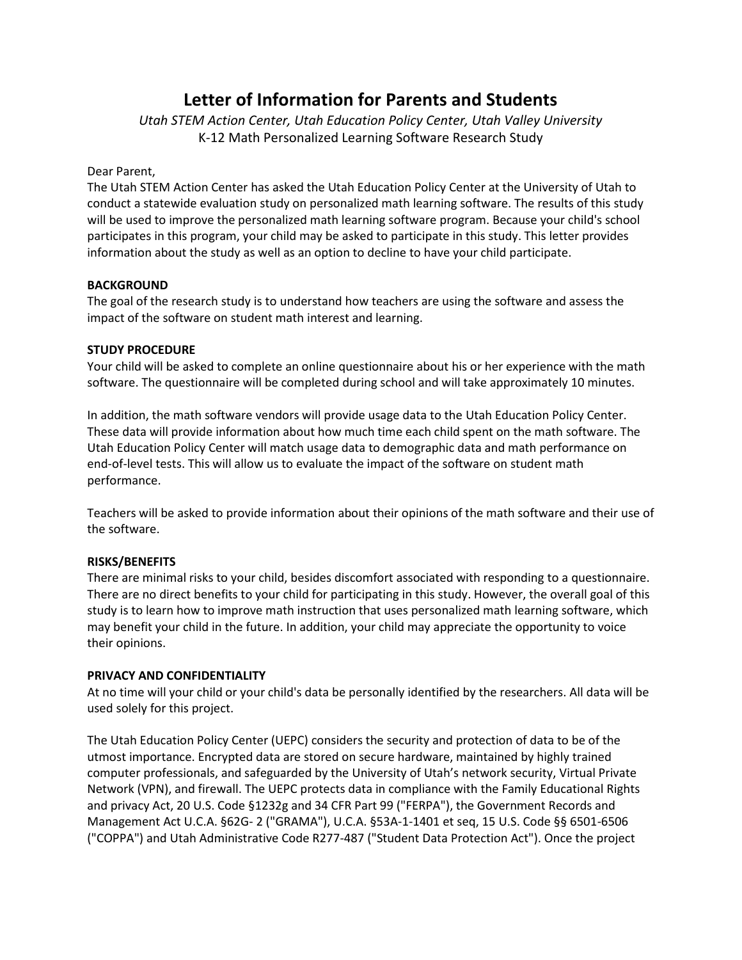# **Letter of Information for Parents and Students**

*Utah STEM Action Center, Utah Education Policy Center, Utah Valley University* K-12 Math Personalized Learning Software Research Study

## Dear Parent,

The Utah STEM Action Center has asked the Utah Education Policy Center at the University of Utah to conduct a statewide evaluation study on personalized math learning software. The results of this study will be used to improve the personalized math learning software program. Because your child's school participates in this program, your child may be asked to participate in this study. This letter provides information about the study as well as an option to decline to have your child participate.

# **BACKGROUND**

The goal of the research study is to understand how teachers are using the software and assess the impact of the software on student math interest and learning.

# **STUDY PROCEDURE**

Your child will be asked to complete an online questionnaire about his or her experience with the math software. The questionnaire will be completed during school and will take approximately 10 minutes.

In addition, the math software vendors will provide usage data to the Utah Education Policy Center. These data will provide information about how much time each child spent on the math software. The Utah Education Policy Center will match usage data to demographic data and math performance on end-of-level tests. This will allow us to evaluate the impact of the software on student math performance.

Teachers will be asked to provide information about their opinions of the math software and their use of the software.

# **RISKS/BENEFITS**

There are minimal risks to your child, besides discomfort associated with responding to a questionnaire. There are no direct benefits to your child for participating in this study. However, the overall goal of this study is to learn how to improve math instruction that uses personalized math learning software, which may benefit your child in the future. In addition, your child may appreciate the opportunity to voice their opinions.

# **PRIVACY AND CONFIDENTIALITY**

At no time will your child or your child's data be personally identified by the researchers. All data will be used solely for this project.

The Utah Education Policy Center (UEPC) considers the security and protection of data to be of the utmost importance. Encrypted data are stored on secure hardware, maintained by highly trained computer professionals, and safeguarded by the University of Utah's network security, Virtual Private Network (VPN), and firewall. The UEPC protects data in compliance with the Family Educational Rights and privacy Act, 20 U.S. Code §1232g and 34 CFR Part 99 ("FERPA"), the Government Records and Management Act U.C.A. §62G- 2 ("GRAMA"), U.C.A. §53A-1-1401 et seq, 15 U.S. Code §§ 6501-6506 ("COPPA") and Utah Administrative Code R277-487 ("Student Data Protection Act"). Once the project